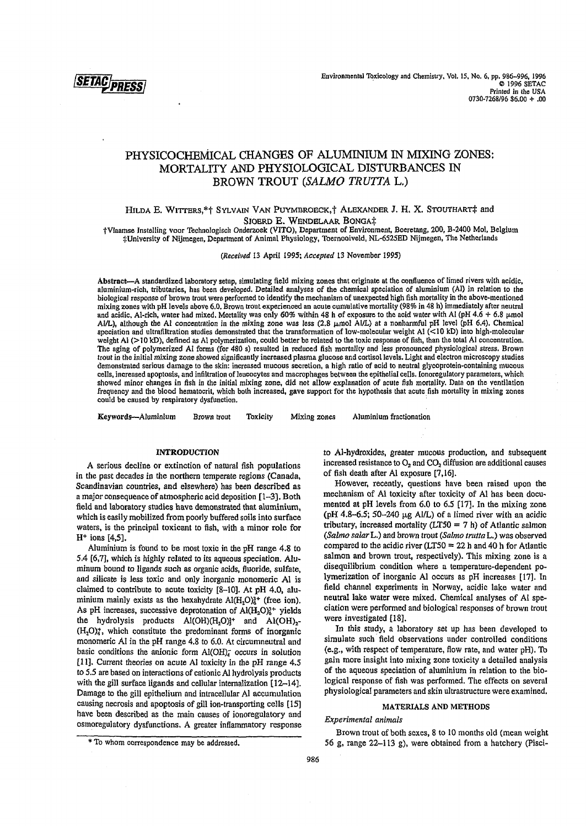

# **PHYSICOCHEMICAL CHANGES OF ALUMINIUM IN MIXING ZONES: MORTALITY AND PHYSIOLOGICAL DISTURBANCES IN BROWN TROUT** *(SALMO TRUTTA* **L.)**

# HILDA E. WITTERS,\*† SYLVAIN VAN PUYMBROECK,† ALEXANDER J. H. X. STOUTHART‡ and SJOERD E. WENDELAAR BONGA‡

tVlaamse Instelling voor Technologisch Onderzoek (VITO), Department of Environment, Boeretang, 200, B-2400 Mol, Belgium .•^University of Nijmegen, Department of Animal Physiology, Toernooiveld, NL-6525ED Nijmegen, The Netherlands

C*Received* 13 April 1995; *Accepted 13* November 1995)

Abstract—A standardized laboratory setup, simulating field mixing zones that originate at the confluence of limed rivers with acidic, aluminium-rich, tributaries, has been developed. Detailed analyses of the chemical spéciation of aluminium (Al) in relation to the biological response of brown trout were performed to identify the mechanism of unexpected high fish mortality in the above-mentioned mixing zones with pH levels above 6.0. Brown trout experienced an acute cumulative mortality (98% in 48 h) immediately after neutral and acidic, Al-rich, water had mixed. Mortality was only 60% within 48 h of exposure to the acid water with Al (pH  $4.6 + 6.8 \mu$ mol Al/L), although the Al concentration in the mixing zone was less  $(2.8 \mu mol$  Al/L) at a nonharmful pH level (pH 6.4). Chemical spéciation and ultrafiltration studies demonstrated that the transformation of low-molecular weight Al (<10 kD) into high-molecular weight Al (>10 kD), defined as Al polymerization, could better be related to the toxic response of fish, than the total Al concentration. The aging of polymerized Al forms (for 480 s) resulted in reduced fish mortality and less pronounced physiological stress. Brown trout in the initial mixing zone showed significantly increased plasma glucose and cortisol levels. Light and electron microscopy studies demonstrated serious damage to the skin: increased mucous secretion, a high ratio of acid to neutral glycoprotein-containing mucous cells, increased apoptosis, and infiltration of leucocytes and macrophages between the epithelial cells. lonoregulatory parameters, which showed minor changes in fish in the initial mixing zone, did not allow explanation of acute fish mortality. Data on the ventilation frequency and the blood hematocrit, which both increased, gave support for the hypothesis that acute fish mortality in mixing zones could be caused by respiratory dysfunction.

Keywords—Aluminium Brown trout Toxicity Mixing zones Aluminium fractionation

#### **INTRODUCTION**

A serious decline or extinction of natural fish populations in the past decades in the northern temperate regions (Canada, Scandinavian countries, and elsewhere) has been described as a major consequence of atmospheric acid deposition [1-3]. Both field and laboratory studies have demonstrated that aluminium, which is easily mobilized from poorly buffered soils into surface waters, is the principal toxicant to fish, with a minor role for H+ ions [4,5].

Aluminium is found to be most toxic in the pH range 4.8 to 5.4 [6,7], which is highly related to its aqueous speciadon. Aluminum bound to ligands such as organic acids, fluoride, sulfate, and silicate is less toxic and only inorganic monomeric Al is claimed to contribute to acute toxicity  $[8-10]$ . At pH 4.0, aluminium mainly exists as the hexahydrate  $Al(H<sub>2</sub>O)<sup>3+</sup>$  (free ion). As pH increases, successive deprotonation of  $Al(H_2O)<sub>0</sub><sup>3+</sup>$  yields the hydrolysis products  $A I(OH)(H_2O)_2^2$  and  $A I(OH)_{2}$ - $(H<sub>2</sub>O)<sub>4</sub>$ , which constitute the predominant forms of inorganic monomeric Al in the pH range 4.8 to 6.0. At circumneutral and basic conditions the anionic form  $Al(OH)<sub>4</sub>$  occurs in solution [11]. Current theories on acute Al toxicity in the pH range 4.5 to 5.5 are based on interactions of cationic Al hydrolysis products with the gill surface ligands and cellular internalization [12-14]. Damage to the gill epithelium and intracellular Al accumulation causing necrosis and apoptosis of gill ion-transporting cells [15] have been described as the main causes of ionoregulatory and osmoregulatory dysfunctions. A greater inflammatory response to Al-hydroxides, greater mucous production, and subsequent increased resistance to  $O_2$  and  $CO_2$  diffusion are additional causes of fish death after Al exposure [7,16].

However, recently, questions have been raised upon the mechanism of Al toxicity after toxicity of Al has been documented at pH levels from 6.0 to 6.5 [17]. In the mixing zone (pH 4.8-6.5; 50-240  $\mu$ g Al/L) of a limed river with an acidic tributary, increased mortality  $(LTS0 = 7 h)$  of Atlantic salmon (Salmo salar L.) and brown trout (Salmo trutta L.) was observed compared to the acidic river  $(LTS0 = 22 h$  and 40 h for Atlantic salmon and brown trout, respectively). This mixing zone is a disequilibrium condition where a temperature-dependent polymerization of inorganic Al occurs as pH increases [17]. In field channel experiments in Norway, acidic lake water and neutral lake water were mixed. Chemical analyses of Al speciation were performed and biological responses of brown trout were investigated [18].

In this study, a laboratory set up has been developed to simulate such field observations under controlled conditions (e.g., with respect of temperature, flow rate, and water pH). To gain more insight into mixing zone toxicity a detailed analysis of the aqueous speciation of aluminium in relation to the biological response of fish was performed. The effects on several physiological parameters and skin ultrastructure were examined.

# MATERIALS AND METHODS

*Experimental animals*

Brown trout of both sexes, 8 to 10 months old (mean weight 56 g, range 22-113 g), were obtained from a hatchery (Pisci-

<sup>\*</sup> To whom correspondence may be addressed.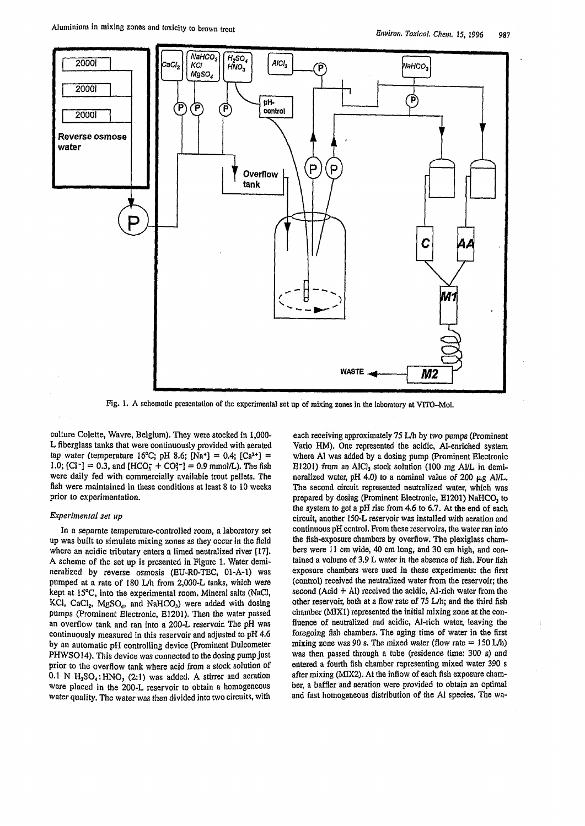

Fig. 1. A schematic presentation of the experimental set up of mixing zones in the laboratory at VITO-Mol.

culture Colette, Wavre, Belgium). They were stocked in 1,000- L fiberglass tanks that were continuously provided with aerated tap water (temperature 16°C; pH 8.6; [Na<sup>+</sup>] = 0.4; [Ca<sup>2+</sup>] = 1.0; [Cl<sup>-</sup>] = 0.3, and [HCO<sub>3</sub><sup>-</sup>] = 0.9 mmol/L). The fish were daily fed with commercially available trout pellets. The fish were maintained in these conditions at least 8 to 10 weeks prior to experimentation.

# *Experimental set up*

In a separate temperature-controlled room, a laboratory set up was built to simulate mixing zones as they occur in the field where an acidic tributary enters a limed neutralized river [17]. A scheme of the set up is presented in Figure 1. Water demineralized by reverse osmosis (EU-R0-TEC, 01-A-l) was pumped at a rate of 180 L/h from 2,000-L tanks, which were kept at 15°C, into the experimental room. Mineral salts (NaCl, KCl,  $CaCl<sub>2</sub>$ , MgSO<sub>4</sub>, and NaHCO<sub>3</sub>) were added with dosing pumps (Prominent Electronic, E1201). Then the water passed an overflow tank and ran into a 200-L reservoir. The pH was continuously measured in this reservoir and adjusted to pH 4.6 by an automatic pH controlling device (Prominent Dulcometer PHWSO14). This device was connected to the dosing pump just prior to the overflow tank where acid from a stock solution of  $0.1$  N  $H_2SO_4$ : HNO<sub>3</sub> (2:1) was added. A stirrer and aeration were placed in the 200-L reservoir to obtain a homogeneous water quality. The water was then divided into two circuits, with

each receiving approximately 75 L/h by two pumps (Prominent Vario HM). One represented the acidic, Al-enriched system where A1 was added by a dosing pump (Prominent Electronic E1201) from an AlCl<sub>3</sub> stock solution (100 mg Al/L in demineralized water, pH 4.0) to a nominal value of 200  $\mu$ g Al/L. The second circuit represented neutralized water, which was prepared by dosing (Prominent Electronic, E1201) NaHCO<sub>3</sub> to the system to get a pH rise from 4.6 to 6.7. At the end of each circuit, another 150-L reservoir was installed with aeration and continuous pH control. From these reservoirs, the water ran into the fish-exposure chambers by overflow. The plexiglass chambers were 11 cm wide, 40 cm long, and 30 cm high, and contained a volume of 3.9 L water in the absence of fish. Four fish exposure chambers were used in these experiments: the first (control) received the neutralized water from the reservoir; the second  $(Acid + Al)$  received the acidic, Al-rich water from the other reservoir, both at a flow rate of 75 L/h; and the third fish chamber (MIX1) represented the initial mixing zone at the confluence of neutralized and acidic, Al-rich water, leaving the foregoing fish chambers. The aging time of water in the first mixing zone was 90 s. The mixed water (flow rate  $= 150$  L/h) was then passed through a tube (residence time: 300 s) and entered a fourth fish chamber representing mixed water 390 s after mixing (MIX2). At the inflow of each fish exposure chamber, a baffler and aeration were provided to obtain an optimal and fast homogeneous distribution of the Al species. The wa-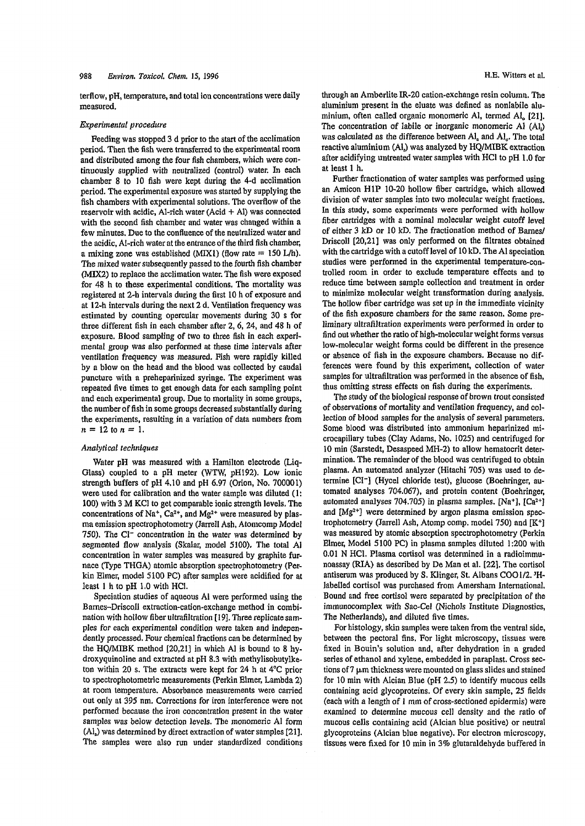terflow, pH, temperature, and total ion concentrations were daily measured.

### *Experimental procedure*

Feeding was stopped 3 d prior to the start of the acclimation period. Then the fish were transferred to the experimental room and distributed among the four fish chambers, which were continuously supplied with neutralized (control) water. In each chamber 8 to 10 fish were kept during the 4-d acclimation period. The experimental exposure was started by supplying the fish chambers with experimental solutions. The overflow of the reservoir with acidic, Al-rich water  $(Acid + Al)$  was connected with the second fish chamber and water was changed within a few minutes. Due to the confluence of the neutralized water and the acidic, Al-rich water at the entrance of the third fish chamber, a mixing zone was established (MIX1) (flow rate  $= 150$  L/h). The mixed water subsequently passed to the fourth fish chamber (MIX2) to replace the acclimation water. The fish were exposed for 48 h to these experimental conditions. The mortality was registered at 2-h intervals during the first 10 h of exposure and at 12-h intervals during the next 2 d. Ventilation frequency was estimated by counting opercular movements during 30 s for three different fish in each chamber after  $2, 6, 24,$  and  $48$  h of exposure. Biood sampling of two to three fish in each experimental group was also performed at these time intervals after ventilation frequency was measured. Fish were rapidly killed by a blow on the head and the blood was collected by caudal puncture with a preheparinized syringe. The experiment was repeated five times to get enough data for each sampling point and each experimental group. Due to mortality in some groups, the number of fish in some groups decreased substantially during the experiments, resulting in a variation of data numbers from  $n = 12$  to  $n = 1$ .

#### *Analytical techniques*

Water pH was measured with a Hamilton electrode (Liq-Glass) coupled to a pH meter (WTW, pH192). Low ionic strength buffers of pH 4,10 and pH 6.97 (Orion, No. 700001) were used for calibration and the water sample was diluted (1: 100) with 3 M KC1 to get comparable ionic strength levels. The concentrations of Na<sup>+</sup>,  $Ca^{2+}$ , and Mg<sup>2+</sup> were measured by plasma emission spectrophotometry (Jarrell Ash, Atomcomp Model 750). The Cl<sup>-</sup> concentration in the water was determined by segmented flow analysis (Skalar, model 5100), The total Al concentration in water samples was measured by graphite furnace (Type THGA) atomic absorption spectrophotometry (Perkin Elmer, model 5100 PC) after samples were acidified for at least 1 h to pH 1.0 with HC1.

Speciation studies of aqueous Al were performed using the Bames-Driscoll extraction-cation-exchange method in combination with hollow fiber ultrafiltration [19], Three replicate samples for each experimental condition were taken and independently processed. Four chemical fractions can be determined by the HQ/MIBK method [20,21] in which Al is bound to 8 hydroxyquinoline and extracted at pH 8.3 with methylisobutylketon within 20 s. The extracts were kept for 24 h at 4°C prior to spectrophotometric measurements (Perkin Elmer, Lambda 2) at room temperature. Absorbance measurements were carried out only at 395 nm. Corrections for iron interference were not performed because the iron concentration present in the water samples was below detection levels. The monomeric Al form (Al,) was determined by direct extraction of water samples [21]. The samples were also run under standardized conditions through an Amberlite IR-20 cation-exchange resin column. The aluminium present in the eluate was defined as nonlabile aluminium, often called organic monomeric Al, termed Al. [21], The concentration of labile or inorganic monomeric Al (Al,) was calculated as the difference between  $AI_a$  and  $AI_a$ . The total reactive aluminium (Al,) was analyzed by HQ/MIBK extraction after acidifying untreated water samples with HC1 to pH 1.0 for at least 1 h.

Further fractionation of water samples was performed using an Amicon H1P 10-20 hollow fiber cartridge, which allowed division of water samples into two molecular weight fractions. In this study, some experiments were performed with hollow fiber cartridges with a nominal molecular weight cutoff level of either 3 kD or 10 kD. The fractionation method of Barnes/ Driscoll [20,21] was only performed on the filtrates obtained with the cartridge with a cutoff level of  $10 \text{ kD}$ . The Al speciation studies were performed in the experimental temperature-controlled room in order to exclude temperature effects and to reduce time between sample collection and treatment in order to minimize molecular weight transformation during analysis. The hollow fiber cartridge was set up in the immediate vicinity of the fish exposure chambers for the same reason. Some preliminary ultrafiltration experiments were performed in order to find out whether the ratio of high-molecular weight forms versus low-molecular weight forms could be different in the presence or absence of fish in the exposure chambers. Because no differences were found by this experiment, collection of water samples for ultrafiltration was performed in the absence of fish, thus omitting stress effects on fish during the experiments.

The study of the biological response of brown trout consisted of observations of mortality and ventilation frequency, and collection of blood samples for the analysis of several parameters. Some blood was distributed into ammonium heparinized microcapillary tubes (Clay Adams, No. 1025) and centrifuged for 10 min (Sarstedt, Desaspeed MH-2) to allow hematocrit determination. The remainder of the blood was centrifuged to obtain plasma. An automated analyzer (Hitachi 705) was used to determine [Cl<sup>-</sup>] (Hycel chloride test), glucose (Boehringer, automated analyses 704.067), and protein content (Boehringer, automated analyses 704.705) in plasma samples. [Na+], [Ca2+] and [Mg2+] were determined by argon plasma emission spectrophotometry (Jarrell Ash, Atomp comp, model 750) and [K+] was measured by atomic absorption spectrophotometry (Perkin Elmer, Model 5100 PC) in plasma samples diluted 1:200 with 0.01 N HC1. Plasma cortisol was determined in a radioimmunoassay (RIA) as described by De Man et al. [22]. The cortisol antiserum was produced by S. Klinger, St. Albans COO1/2.<sup>3</sup>H-Jabelled cortisol was purchased from Amersham International. Bound and free cortisol were separated by precipitation of the immunocomplex with Sac-Cel (Nichols Institute Diagnostics, The Netherlands), and diluted five times.

For histology, skin samples were taken from the ventral side, between the pectoral fins. For light microscopy, tissues were fixed in Bouin's solution and, after dehydration in a graded series of ethanol and xylene, embedded in paraplast. Cross sections of  $7 \mu m$  thickness were mounted on glass slides and stained for 10 min with Alcian Blue (pH 2.5) to identify mucous cells containing acid glycoproteins. Of every skin sample, 25 fields (each with a length of 1 mm of cross-sectioned epidermis) were examined to determine mucous cell density and the ratio of mucous cells containing acid (Alcian blue positive) or neutral glycoproteins (Alcian blue negative). For electron microscopy, tissues were fixed for 10 min in 3% glutaraldehyde buffered in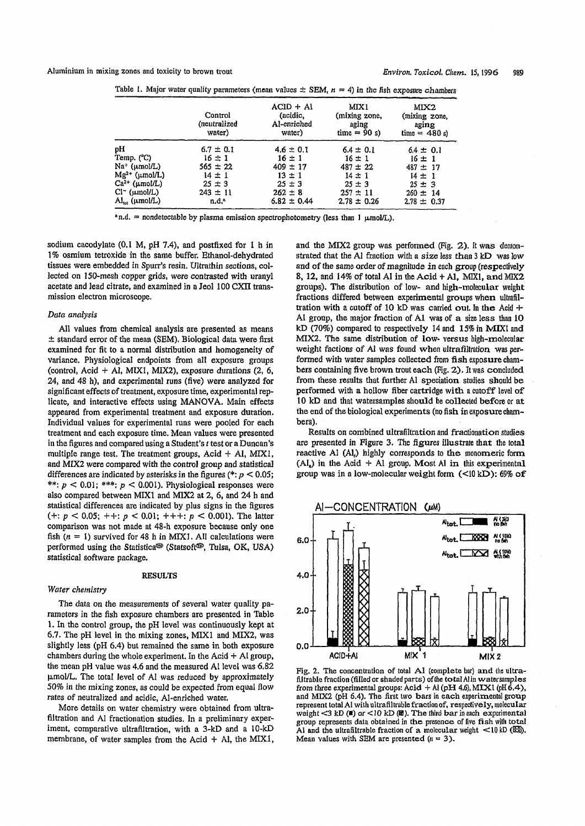Aluminium in mixing zones and toxicity to brown trout *Environ. Toxicol, Client.* 15,1996 989

|                                           | Control<br>(neutralized<br>water) | $ACID + AI$<br>(acidic,<br>Al-enriched<br>water) | MIX1<br>(mixing zone,<br>aging<br>time = $90 s$ ) | MIX2<br>(mixing zone,<br>aging<br>time = $480 s$ |
|-------------------------------------------|-----------------------------------|--------------------------------------------------|---------------------------------------------------|--------------------------------------------------|
|                                           |                                   |                                                  |                                                   |                                                  |
| рH                                        | $6.7 \pm 0.1$                     | $4.6 \pm 0.1$                                    | $6.4 \pm 0.1$                                     | $6.4 \pm 0.1$                                    |
| Temp. (°C)                                | $16 \pm 1$                        | $16 \pm 1$                                       | $16 \pm 1$                                        | $16 \pm 1$                                       |
| Na <sup>+</sup> (µmol/L)                  | $565 \pm 22$                      | $409 \pm 17$                                     | $487 \pm 22$                                      | $487 \pm 17$                                     |
| $Mg^{2+}$ (umol/L)                        | $14 \pm 1$                        | $13 \pm 1$                                       | $14 \pm 1$                                        | $14 \pm 1$                                       |
| $Ca2+$ ( $\mu$ mol/L)                     | $25 \pm 3$                        | $25 \pm 3$                                       | $25 \pm 3$                                        | $25 \pm 3$                                       |
| $Cl^-$ ( $\mu$ mol/L)                     | $243 \pm 11$                      | $262 \pm 8$                                      | $257 \pm 11$                                      | $260 \pm 14$                                     |
| $\mathrm{Al}_{\mathrm{m}}$ ( $\mu$ mol/L) | n.d. <sup>a</sup>                 | $6.82 \pm 0.44$                                  | $2.78 \pm 0.26$                                   | $2.78 \pm 0.37$                                  |

Table 1. Major water quality parameters (mean values  $\pm$  SEM,  $n = 4$ ) in the fish exposure chambers

 $n.d.$  = nondetectable by plasma emission spectrophotometry (less than 1  $\mu$ mol/L).

sodium cacodylate (0.1 M, pH 7.4), and postfixed for 1 h in 1% osmium tetroxide in the same buffer. Ethanol-dehydrated tissues were embedded in Spurr's resin. Ultrathin sections, collected on 150-mesh copper grids, were contrasted with uranyl acetate and lead citrate, and examined in a Jeol 100 CXII transmission electron microscope.

## *Data analysis*

All values from chemical analysis are presented as means  $\pm$  standard error of the mean (SEM). Biological data were first examined for fit to a normal distribution and homogeneity of variance, Physiological endpoints from all exposure groups (control, Acid + Al, MIX1, MIX2), exposure durations (2, 6, 24, and 48 h), and experimental runs (five) were analyzed for significant effects of treatment, exposure time, experimental replicate, and interactive effects using MANOVA. Main effects appeared from experimental treatment and exposure duration. Individual values for experimental runs were pooled for each treatment and each exposure time. Mean values were presented in the figures and compared using a Student's *t* test or a Duncan's multiple range test. The treatment groups, Acid  $+$  Al, MIX1, and MIX2 were compared with the control group and statistical differences are indicated by asterisks in the figures ( $*$ :  $p < 0.05$ ; \*\*:  $p < 0.01$ ; \*\*\*:  $p < 0.001$ ). Physiological responses were also compared between MIX1 and MIX2 at 2, 6, and 24 h and statistical differences are indicated by plus signs in the figures  $(+: p < 0.05; ++: p < 0.01; ++: p < 0.001$ . The latter comparison was not made at 48-h exposure because only one fish  $(n = 1)$  survived for 48 h in MIX1. All calculations were performed using the Statistica<sup>®</sup> (Statsoft<sup>®</sup>, Tulsa, OK, USA) statistical software package.

# RESULTS

#### *Water chemistry*

The data on the measurements of several water quality parameters in the fish exposure chambers are presented in Table 1. In the control group, the pH level was continuously kept at 6.7. The pH level in the mixing zones, MIX1 and MIX2, was slightly less (pH 6.4) but remained the same in both exposure chambers during the whole experiment. In the Acid  $+$  Al group, the mean pH value was 4.6 and the measured Al level was 6.82 umol/L. The total level of Al was reduced by approximately 50% in the mixing zones, as could be expected from equal flow rates of neutralized and acidic, Al-enriched water.

More details on water chemistry were obtained from ultrafiltration and Al fractionation studies. In a preliminary experiment, comparative ultrafiltration, with a 3-kD and a 10-kD membrane, of water samples from the Acid  $+$  Al, the MIX1, and the MIX2 group was performed (Fig.  $2$ ). It was demonstrated that the Al fraction with a size less than 3 kD was low and of the same order of magnitude in each group (respectively 8, 12, and 14% of total Al in the Acid  $+$  Al, MIX1, and MIX2 groups). The distribution of low- and high-molecular weight fractions differed between experimental groups when ultrafiltration with a cutoff of 10 kD was carried out. In the Acid  $+$ Al group, the major fraction of Al was of a size less than 10 kD (70%) compared to respectively 14 and 15% in MIX1 and MIX2. The same distribution of low- versus high-molecular weight factions of Al was found when ultrafiltration was performed with water samples collected from fish exposure chambers containing five brown trout each (Fig. 2). It was concluded from these results that further Al speciation studies should be performed with a hollow fiber cartridge with a cutoff level of 10 kD and that watersamples should be collected before or at the end of the biological experiments (no fish in exposure chambers).

Results on combined ultrafiltration and fractionation studies are presented in Figure 3. The figures illustrate that the total reactive Al (Al<sub>r</sub>) highly corresponds to the monomeric form  $(Al<sub>s</sub>)$  in the Acid + Al group. Most Al in this experimental group was in a low-molecular weight form  $(\langle 10 \text{ kD} \rangle)$ : 69% of



Fig. 2. The concentration of total A1 (complete bar) and the ultrafiltrable fraction (filled or shaded parts) of the total Al in watersamples from three experimental groups:  $Acid + Al$  (pH 4.6), MIX1 (pH 6.4), and MIX2 (pH 6.4). The first two bars in each experimental group represent total Al with ultrafiltrable fraction of, respectively, molecular weight  $<$ 3 kD ( $\blacksquare$ ) or  $<$  10 kD ( $\blacksquare$ ). The third bar in each experimental group represents data obtained in the presence of five fish with total Al and the ultrafiltrable fraction of a molecular weight  $\lt 10$  kD ( $\mathbb{X}\$ ). Mean values with SEM are presented  $(n = 3)$ .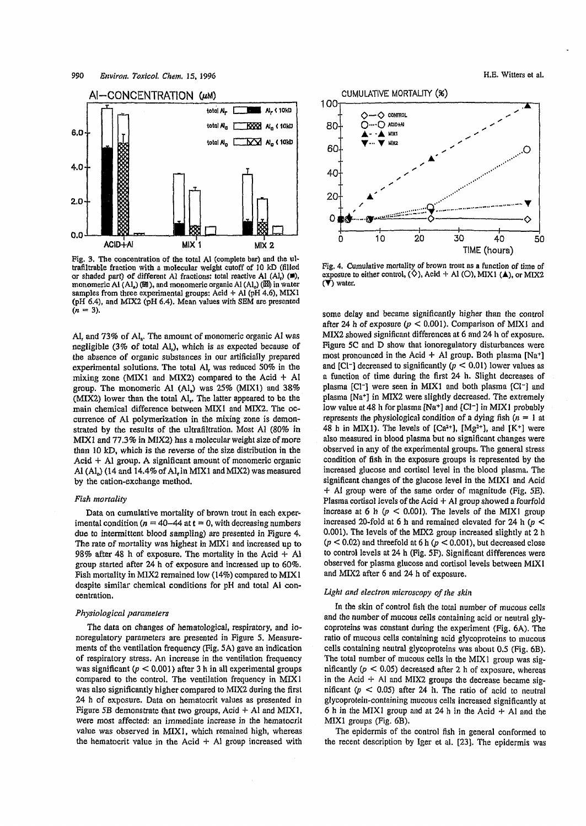

Pig. 3. The concentration of the total Al (complete bar) and the ultrafiltrable fraction with a molecular weight cutoff of 10 kD (filled or shaded part) of different Al fractions: total reactive Al (Al,)  $(\blacksquare)$ , monomeric Al  $(Al_n)$  ( $\mathbb{B}$ ), and monomeric organic Al  $(Al_o)$  ( $\mathbb{B}$ ) in water samples from three experimental groups: Acid + Al (pH 4.6), MIX1 (pH 6.4), and MIX2 (pH 6.4). Mean values with SEM are presented  $(n = 3)$ .

Al, and 73% of Al,. The amount of monomeric organic Al was negligible  $(3\%$  of total Al<sub>r</sub>), which is as expected because of the absence of organic substances in our artificially prepared experimental solutions. The total Al, was reduced 50% in the mixing zone (MIX1 and MIX2) compared to the Acid  $+$  Al group. The monomeric Al  $(Al)$  was 25% (MIX1) and 38% (MIX2) lower than the total Al. The latter appeared to be the main chemical difference between MIX1 and MIX2. The occurrence of Al polymerization in the mixing zone is demonstrated by the results of the ultrafiltration. Most Al (80% in  $MIX1$  and  $77.3\%$  in  $MIX2$ ) has a molecular weight size of more than 10 kD, which is the reverse of the size distribution in the Acid  $+$  Al group. A significant amount of monomeric organic Al  $(A<sub>b</sub>)$  (14 and 14.4% of Al, in MIX1 and MIX2) was measured by the cation-exchange method.

#### *Fish mortality*

Data on cumulative mortality of brown trout in each experimental condition  $(n = 40 - 44$  at  $t = 0$ , with decreasing numbers due to intermittent blood sampling) are presented in Figure 4. The rate of mortality was highest in MIX1 and increased up to 98% after 48 h of exposure. The mortality in the Acid  $+$  Al group started after 24 h of exposure and increased up to 60%. Fish mortality in MIX2 remained low (14%) compared to MIX1 despite similar chemical conditions for pH and total Al concentration.

### *Physiological parameters*

The data on changes of hematological, respiratory, and ionoregulatory parameters are presented in Figure 5. Measurements of the ventilation frequency (Fig. 5A) gave an indication of respiratory stress. An increase in the ventilation frequency was significant  $(p < 0.001)$  after 3 h in all experimental groups compared to the control. The ventilation frequency in MIX1 was also significantly higher compared to MIX2 during the first 24 h of exposure. Data on hematocrit values as presented in Figure 5B demonstrate that two groups, Acid  $+$  Al and MIX1, were most affected: an immediate increase in the hematocrit value was observed in **MIX1,** which remained high, whereas the hematocrit value in the Acid  $+$  Al group increased with



Fig. 4. Cumulative mortality of brown trout as a function of time of exposure to either control,  $(\diamondsuit)$ , Acid + Al  $(\circlearrowright)$ , MIX1  $(\triangle)$ , or MIX2 (▼) water.

some delay and became significantly higher than the control after 24 h of exposure  $(p < 0.001)$ . Comparison of MIX1 and MIX2 showed significant differences at 6 and 24 h of exposure. Figure 5C and D show that ionoregulatory disturbances were most pronounced in the Acid  $+$  Al group. Both plasma [Na+] and [Cl<sup>-</sup>] decreased to significantly  $(p < 0.01)$  lower values as a function of time during the first 24 h. Slight decreases of plasma [Cl<sup>-</sup>] were seen in MIX1 and both plasma [Cl<sup>-</sup>] and plasma [Na+] in MIX2 were slightly decreased. The extremely low value at 48 h for plasma [Na+] and  $[Cl^-]$  in MIX1 probably represents the physiological condition of a dying fish  $(n = 1$  at 48 h in MIX1). The levels of  $[Ca^{2+}]$ ,  $[Mg^{2+}]$ , and  $[K^+]$  were also measured in blood plasma but no significant changes were observed in any of the experimental groups. The general stress condition of fish in the exposure groups is represented by the increased glucose and cortisol level in the blood plasma. The significant changes of the glucose level in the MIX1 and Acid  $+$  Al group were of the same order of magnitude (Fig. 5E). Plasma cortisol levels of the Acid  $+$  Al group showed a fourfold increase at 6 h  $(p < 0.001)$ . The levels of the MIX1 group increased 20-fold at 6 h and remained elevated for 24 h *(p <* 0.001). The levels of the MIX2 group increased slightly at 2 h *(p* < 0.02) and threefold at 6 h *(p <* 0.001), but decreased close to control levels at 24 h (Fig. 5F). Significant differences were observed for plasma glucose and cortisol levels between M1X1 and MIX2 after 6 and 24 h of exposure.

### Light and electron microscopy of the skin

In the skin of control fish the total number of mucous cells and the number of mucous cells containing acid or neutral glycoproteins was constant during the experiment (Fig. 6A). The ratio of mucous cells containing acid glycoproteins to mucous cells containing neutral glycoproteins was about 0.5 (Fig. 6B). The total number of mucous cells in the MIX1 group was significantly  $(p < 0.05)$  decreased after 2 h of exposure, whereas in the Acid  $+$  Al and MIX2 groups the decrease became significant  $(p < 0.05)$  after 24 h. The ratio of acid to neutral glycoprotein-containing mucous cells increased significantly at 6 h in the MIX1 group and at 24 h in the Acid  $+$  Al and the M1X1 groups (Fig. 6B),

The epidermis of the control fish in general conformed to the recent description by Iger et al. [23]. The epidermis was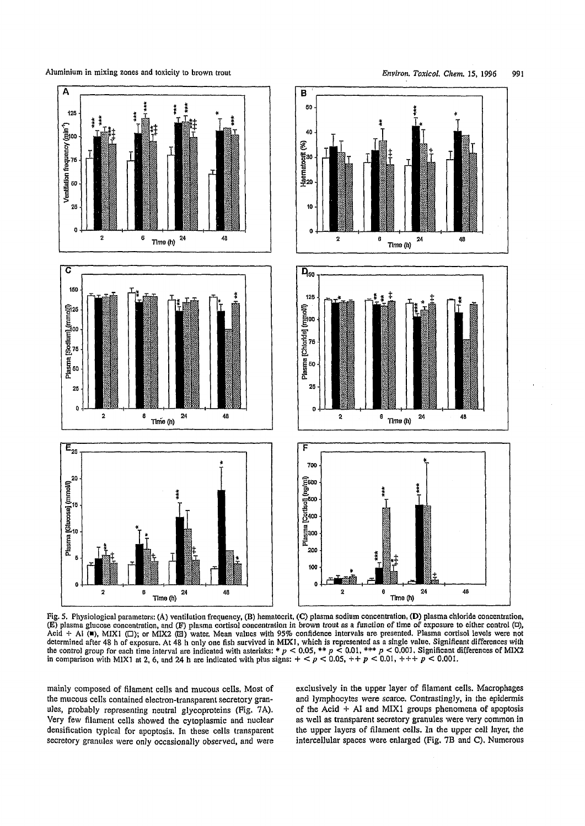Aluminium in mixing zones and toxicity to brown trout *Final Communication*. *Environ. Toxicol. Chem.* 15, 1996 991



Fig. 5. Physiological parameters: (A) ventilation frequency, (B) hematocrit, (C) plasma sodium concentration, (D) plasma chloride concentration, (E) plasma glucose concentration, and (F) plasma cortisol concentration in brown trout as a function of time of exposure to either control (d), Acid + A! ( $\blacksquare$ ), MIX1 ( $\square$ ); or MIX2 ( $\boxtimes$ ) water, Mean values with 95% confidence intervals are presented. Plasma cortisol levels were not determined after 48 h of exposure. At 48 h only one fish survived in MIX1, which is represented as a single value, Significant differences with the control group for each time interval are indicated with asterisks: *\* p <* 0.05, *\*\* p* < 0.01, \*\*\* *p* < 0.001, Significant differences of MIX2 in comparison with M1X1 at 2, 6, and 24 h are indicated with plus signs: + < *p* < 0.05, + + *p* < 0.01, + + + *p <* 0.001.

mainly composed of filament cells and mucous cells. Most of the mucous cells contained electron-transparent secretory granules, probably representing neutral glycoproteins (Fig. 7A). Very few filament cells showed the cytoplasmic and nuclear densification typical for apoptosis. In these cells transparent secretory granules were only occasionally observed, and were exclusively in the upper layer of filament cells. Macrophages and lymphocytes were scarce. Contrastingly, in the epidermis of the Acid + Al and MIX1 groups phenomena of apoptosis as well as transparent secretory granules were very common in the upper layers of filament cells. In the upper cell layer, the intercellular spaces were enlarged (Fig. 7B and C). Numerous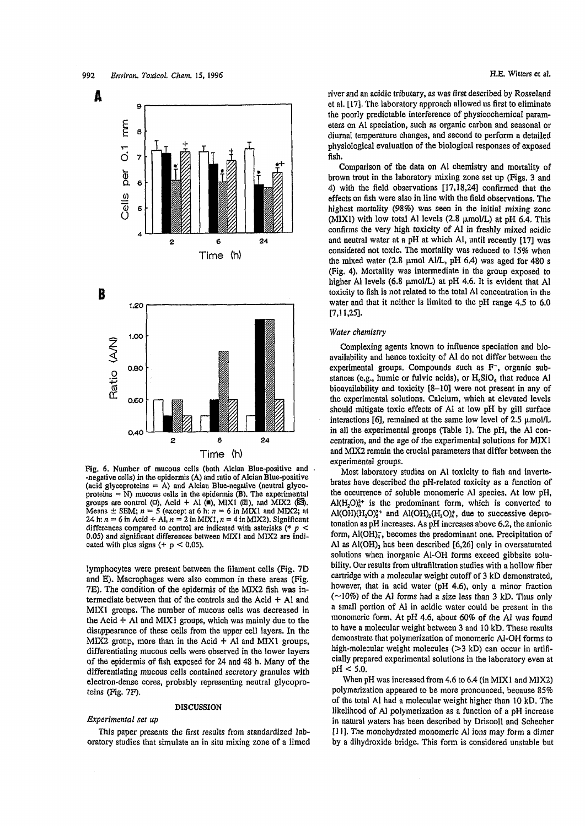



Fig. 6. Number of mucous cells (both Alcian Blue-positive and -negative cells) in the epidermis (A) and ratio of Alcian Blue-positive (acid glycoproteins  $= A$ ) and Alcian Blue-negative (neutral glycoproteins  $= N$ ) mucous cells in the epidermis (B). The experimental groups are control  $(\Box)$ , Acid + Al  $(\blacksquare)$ , MIX1  $(\boxtimes)$ , and MIX2  $(\boxtimes)$ . Means  $\pm$  SEM;  $n = 5$  (except at 6 h:  $n = 6$  in MIX1 and MIX2; at 24 h:  $n = 6$  in Acid + Al,  $n = 2$  in MIX1,  $n = 4$  in MIX2). Significant differences compared to control are indicated with asterisks (\* 0.05) and significant differences between MIX1 and MIX2 are indicated with plus signs  $(+ p < 0.05)$ .

lymphocytes were present between the filament cells (Fig. 7D and E). Macrophages were also common in these areas (Fig. 7E). The condition of the epidermis of the MIX2 fish was intermediate between that of the controls and the Acid  $+$  Al and MIX1 groups. The number of mucous cells was decreased in the Acid  $+$  Al and MIX1 groups, which was mainly due to the disappearance of these cells from the upper cell layers. In the MIX2 group, more than in the Acid  $+$  Al and MIX1 groups, differentiating mucous cells were observed in the lower layers of the epidermis of fish exposed for 24 and 48 h. Many of the differentiating mucous cells contained secretory granules with electron-dense cores, probably representing neutral glycoproteins (Fig. *IF).*

## DISCUSSION

#### *Experimental set up*

This paper presents the first results from standardized laboratory studies that simulate an in situ mixing zone of a limed river and an acidic tributary, as was first described by Rosseland et al. [17]. The laboratory approach allowed us first to eliminate the poorly predictable interference of physicochemical parameters on Al speciation, such as organic carbon and seasonal or diurnal temperature changes, and second to perform a detailed physiological evaluation of the biological responses of exposed fish.

Comparison of the data on Al chemistry and mortality of brown trout in the laboratory mixing zone set up (Figs. 3 and 4) with the field observations [17,18,24] confirmed that the effects on fish were also in line with the field observations. The highest mortality (98%) was seen in the initial mixing zone (MIX1) with low total Al levels (2.8  $\mu$ mol/L) at pH 6.4. This confirms the very high toxicity of Al in freshly mixed acidic and neutral water at a pH at which Al, until recently [17] was considered not toxic. The mortality was reduced to 15% when the mixed water (2.8  $\mu$ mol Al/L, pH 6.4) was aged for 480 s (Fig. 4). Mortality was intermediate in the group exposed to higher Al levels (6.8  $\mu$ mol/L) at pH 4.6. It is evident that Al toxicity to fish is not related to the total Al concentration in the water and that it neither is limited to the pH range 4.5 to 6.0 [7,11,25].

#### *Water chemistry*

Complexing agents known to influence speciation and bioavailability and hence toxicity of Al do not differ between the experimental groups. Compounds such as F-, organic substances (e.g., humic or fulvic acids), or  $H_4SiO_4$  that reduce Al bioavailability and toxicity [8-10] were not present in any of the experimental solutions. Calcium, which at elevated levels should mitigate toxic effects of Al at low pH by gill surface interactions [6], remained at the same low level of 2.5  $\mu$ mol/L in all the experimental groups (Table 1). The pH, the Al concentration, and the age of the experimental solutions for MIX1 and MIX2 remain the crucial parameters that differ between the experimental groups.

Most laboratory studies on Al toxicity to fish and invertebrates have described the pH-related toxicity as a function of the occurrence of soluble monomeric Al species. At low pH,  $AI(H, O)<sub>6</sub>$ <sup>+</sup> is the predominant form, which is converted to Al(OH) $(H_2O)_3^{2+}$  and Al(OH)<sub>2</sub> $(H_2O)_4^{+}$ , due to successive deprotonation as pH increases. As pH increases above 6.2, the anionic form,  $\text{Al}(\text{OH})_{4}^{-}$ , becomes the predominant one. Precipitation of Al as  $Al(OH)$ <sub>3</sub> has been described [6,26] only in oversaturated solutions when inorganic Al-OH forms exceed gibbsite solubility, Our results from ultrafiltration studies with a hollow fiber cartridge with a molecular weight cutoff of 3 kD demonstrated, however, that in acid water (pH 4.6), only a minor fraction  $(\sim)10\%$  of the Al forms had a size less than 3 kD. Thus only a small portion of Al in acidic water could be present in the monomeric form. At pH 4.6, about 60% of the Al was found to have a molecular weight between 3 and 10 kD. These results demonstrate that polymerization of monomeric AI-OH forms to high-molecular weight molecules  $(>3 kD)$  can occur in artificially prepared experimental solutions in the laboratory even at pH < 5.0.

When pH was increased from 4.6 to 6.4 (in MIX 1 and MIX2) polymerization appeared to be more pronounced, because 85% of the total Al had a molecular weight higher than 10 kD. The likelihood of Al polymerization as a function of a pH increase in natural waters has been described by Driscoll and Schecher [1 ]]. The monohydrated monomeric Al ions may form a dimer by a dihydroxide bridge. This form is considered unstable but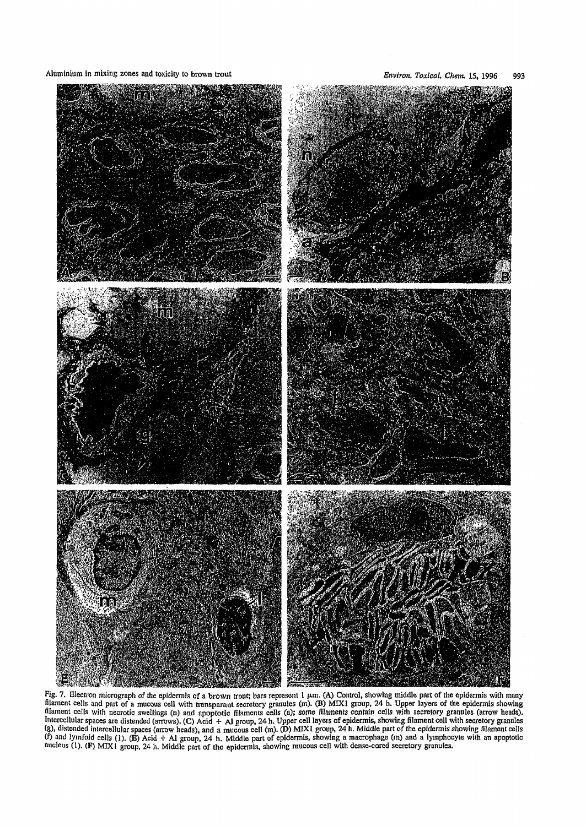Aluminium in mixing zones and toxicity to brown trout *Environ. Toxicol. Chem.* 15, 1996 993



Fig. 7. Electron micrograph of the epidermis of a brown trout; bars represent  $1 \mu m$ . (A) Control, showing middle infinition cells and part of a mucous cell with transparant secretory granules (m). (B) MIX1 group, 24 h. Upper layers of the epidermis showing<br>filament cells with necrotic swellings (n) and apoptotic filaments cells (a); nucleus (1). (F) MIX 1 group, 24 h. Middle part of the epidermis, showing mucous cell with dense-cored secretory g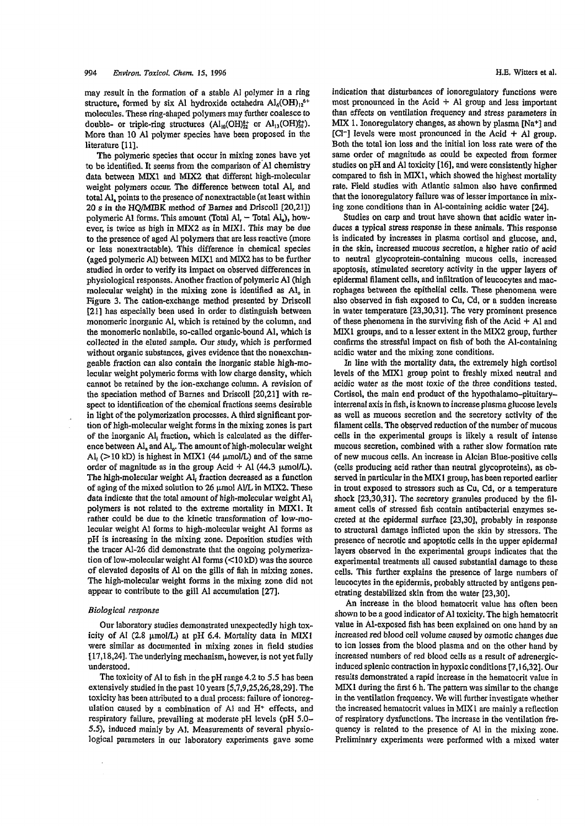may result in the formation of a stable Al polymer in a ring structure, formed by six Al hydroxide octahedra  $\text{Al}_6(\text{OH})_{12}$ <sup>6+</sup> molecules. These ring-shaped polymers may further coalesce to double- or triple-ring structures  $(Al_{10}(OH)_{22}^{3+}$  or  $Al_{13}(OH)_{30}^{9+})$ . More than 10 Al polymer species have been proposed in the literature [11].

The polymeric species that occur in mixing zones have yet to be identified. It seems from the comparison of Al chemistry data between MIX1 and MIX2 that different high-molecular weight polymers occur. The difference between total Al, and total  $AI<sub>a</sub>$  points to the presence of nonextractable (at least within 20 s in the HQ/MIBK method of Barnes and Driscoll [20,21]) polymeric Al forms. This amount (Total Al,  $-$  Total Al,), however, is twice as high in MIX2 as in MIX1. This may be due to the presence of aged Al polymers that are less reactive (more or less nonextractable). This difference in chemical species (aged polymeric Al) between MIX1 and MIX2 has to be further studied in order to verify its impact on observed differences in physiological responses. Another fraction of polymeric Al (high molecular weight) in the mixing zone is identified as Al<sub>0</sub> in Figure 3. The cation-exchange method presented by Driscoll [21] has especially been used in order to distinguish between monomeric inorganic Al, which is retained by the column, and the monomeric nonlabile, so-called organic-bound Al, which is collected in the eluted sample. Our study, which is performed without organic substances, gives evidence that the nonexchangeable fraction can also contain the inorganic stable high-molecular weight polymeric forms with low charge density, which cannot be retained by the ion-exchange column. A revision of the speciation method of Barnes and Driscoll [20,21] with respect to identification of the chemical fractions seems desirable in light of the polymerization processes. A third significant portion of high-molecular weight forms in the mixing zones is part of the inorganic Al, fraction, which is calculated as the difference between Al, and Al. The amount of high-molecular weight Al<sub>i</sub> ( $>$ 10 kD) is highest in MIX1 (44  $\mu$ mol/L) and of the same order of magnitude as in the group Acid  $+$  Al (44.3  $\mu$ mol/L). The high-molecular weight Al, fraction decreased as a function of aging of the mixed solution to 26  $\mu$ mol Al/L in MIX2. These data indicate that the total amount of high-molecular weight  $Al<sub>i</sub>$ polymers is not related to the extreme mortality in MIX1. It rather could be due to the kinetic transformation of low-molecular weight Al forms to high-molecular weight Al forms as pH is increasing in the mixing zone. Deposition studies with the tracer Al-26 did demonstrate that the ongoing polymerization of low-molecular weight Al forms (<10 kD) was the source of elevated deposits of Al on the gills of fish in mixing zones. The high-molecular weight forms in the mixing zone did not appear to contribute to the gill Al accumulation [27].

# *Biological response*

Our laboratory studies demonstrated unexpectedly high toxicity of Al (2.8  $\mu$ mol/L) at pH 6.4. Mortality data in MIX1 were similar as documented in mixing zones in field studies 117,18,24]. The underlying mechanism, however, is not yet fully understood.

The toxicity of Al to fish in the pH range 4.2 to 5.5 has been extensively studied in the past 10 years [5,7,9,25,26,28,29]. The toxicity has been attributed to a dual process: failure of ionoregulation caused by a combination of Al and H\* effects, and respiratory failure, prevailing at moderate pH levels (pH 5.0-5.5), induced mainly by A]. Measurements of several physiological parameters in our laboratory experiments gave some indication that disturbances of ionoregulatory functions were most pronounced in the Acid  $+$  Al group and less important than effects on ventilation frequency and stress parameters in MIX 1. Ionoregulatory changes, as shown by plasma [Na+] and [Cl<sup>-</sup>] levels were most pronounced in the Acid  $+$  Al group. Both the total ion loss and the initial ion loss rate were of the same order of magnitude as could be expected from former studies on pH and Al toxicity [16], and were consistently higher compared to fish in MIX1, which showed the highest mortality rate. Field studies with Atlantic salmon also have confirmed that the ionoregulatory failure was of lesser importance in mixing zone conditions than in Al-containing acidic water [24].

Studies on carp and trout have shown that acidic water induces a typical stress response in these animals. This response is indicated by increases in plasma cortisol and glucose, and, in the skin, increased mucous secretion, a higher ratio of acid to neutral glycoprotein-containing mucous cells, increased apoptosis, stimulated secretory activity in the upper layers of epidermal filament cells, and infiltration of leucocytes and macrophages between the epithelial cells. These phenomena were also observed in fish exposed to Cu, Cd, or a sudden increase in water temperature [23,30,31], The very prominent presence of these phenomena in the surviving fish of the Acid  $+$  Al and MIX1 groups, and to a lesser extent in the MIX2 group, further confirms the stressful impact on fish of both the Al-containing acidic water and the mixing zone conditions.

In line with the mortality data, the extremely high cortisol levels of the MIX1 group point to freshly mixed neutral and acidic water as the most toxic of the three conditions tested. Cortisol, the main end product of the hypothalamo-pituitaryinterrenal axis in fish, is known to increase plasma glucose levels as well as mucous secretion and the secretory activity of the filament cells. The observed reduction of the number of mucous cells in the experimental groups is likely a result of intense mucous secretion, combined with a rather slow formation rate of new mucous cells. An increase in Alcian Blue-positive cells (cells producing acid rather than neutral glycoproteins), as observed in particular in the MIX1 group, has been reported earlier in trout exposed to stressors such as Cu, Cd, or a temperature shock [23,30,31]. The secretory granules produced by the filament cells of stressed fish contain antibacterial enzymes secreted at the epidermal surface [23,30], probably in response to structural damage inflicted upon the skin by stressors. The presence of necrotic and apoptotic cells in the upper epidermal layers observed in the experimental groups indicates that the experimental treatments all caused substantial damage to these cells. This further explains the presence of large numbers of leucocytes in the epidermis, probably attracted by antigens penetrating destabilized skin from the water [23,30].

An increase in the blood hematocrit value has often been shown to be a good indicator of Al toxicity. The high hematocrit value in Al-exposed fish has been explained on one hand by an increased red blood cell volume caused by osmotic changes due to ion losses from the blood plasma and on the other hand by increased numbers of red blood cells as a result of adrenergicinduced splenic contraction in hypoxic conditions [7,16,32]. Our results demonstrated a rapid increase in the hematocrit value in MIX1 during the first 6 h. The pattern was similar to the change in the ventilation frequency. We will further investigate whether the increased hematocrit values in MIX I are mainly a reflection of respiratory dysfunctions. The increase in the ventilation frequency is related to the presence of Al in the mixing zone. Preliminary experiments were performed with a mixed water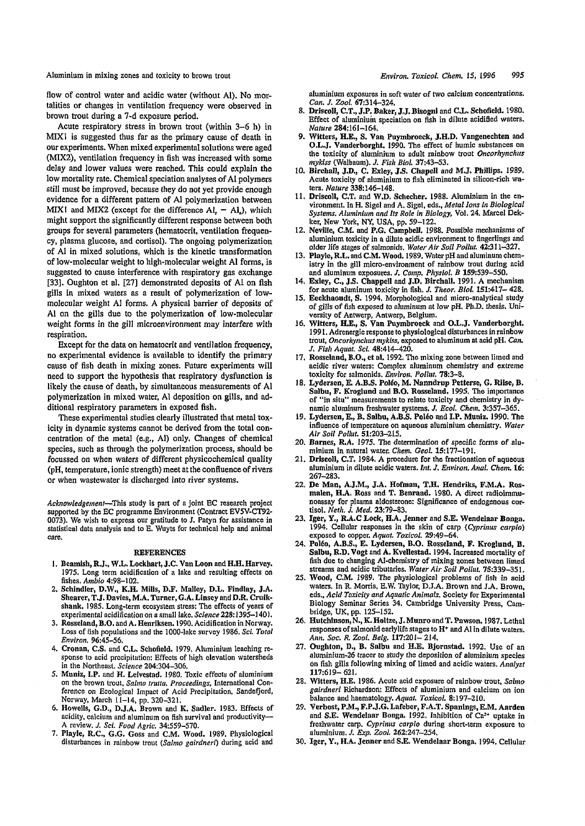Aluminium in mixing zones and toxicity to brown trout *Environ. Toxicol. Chem.* 15, 1996 995

flow of control water and acidic water (without Al). No mortalities or changes in ventilation frequency were observed in brown trout during a 7-d exposure period.

Acute respiratory stress in brown trout (within  $3-6$  h) in MIX1 is suggested thus far as the primary cause of death in our experiments. When mixed experimental solutions were aged (MIX2), ventilation frequency in fish was increased with some delay and lower values were reached. This could explain the low mortality rate. Chemical speciation analyses of Al polymers still must be improved, because they do not yet provide enough evidence for a different pattern of Al polymerization between MIX1 and MIX2 (except for the difference  $AI_r - AI_s$ ), which might support the significantly different response between both groups for several parameters (hematocrit, ventilation frequency, plasma glucose, and cortisol). The ongoing polymerization of Al in mixed solutions, which is the kinetic transformation of low-molecular weight to high-molecular weight Al forms, is suggested to cause interference with respiratory gas exchange [33]. Oughton et al. [27] demonstrated deposits of Al on fish gills in mixed waters as a result of polymerization of lowmolecular weight Al forms. A physical barrier of deposits of Al on the gills due to the polymerization of low-molecular weight forms in the gill microenvironment may interfere with respiration.

Except for the data on hematocrit and ventilation frequency, no experimental evidence is available to identify the primary cause of fish death in mixing zones. Future experiments will need to support the hypothesis that respiratory dysfunction is likely the cause of death, by simultaneous measurements of Al polymerization in mixed water, Al deposition on gills, and additional respiratory parameters in exposed fish.

These experimental studies clearly illustrated that metal toxicity in dynamic systems cannot be derived from the total concentration of the metal (e.g., Al) only. Changes of chemical species, such as through the polymerization process, should be focussed on when waters of different physicochemical quality (pH, temperature, ionic strength) meet at the confluence of rivers or when wastewater is discharged into river systems.

*Acknowledgement*—This study Is part of a joint EC research project supported by the EC programme Environment (Contract EV5V-CT92- 0073). We wish to express our gratitude to J. Patyn for assistance in statistical data analysis and to E. Wuyts for technical help and animal care.

#### REFERENCES

- 1. Beamish, R.J., W.L. Lockhart, J.C. Van Loon and H.H. Harvey. 1975. Long term acidification of a lake and resulting effects on fishes. *Ambio* 4:98-102.
- 2. Schindler, D.W., K.H. Mills, D.F. Malley, D.L. Findlay, J.A. Shearer, T.J. Davies, M.A. Turner, G.A. Linsey and D.R. Cruikshank. 1985. Long-term ecosystem stress: The effects of years of experimental acidification on a small lake. *Science 228:*1395-1401.
- 3. Rosseland, B.O. and A. Henriksen. 1990. Acidification in Norway. Loss of fish populations and the 1000-lake survey 1986, *Sci. Total Environ.* 96:45-56.
- 4. Cronan, C.S. und C.L. Schofield. 1979. Aluminium leaching response to acid precipitation: Effects of high elevation watersheds in the Northeast. *Science* 204:304-306.
- 5. Muniz, I.P. and H. Leivestad. 1980. Toxic effects of aluminium on the brown trout, *Salma trutta. Proceedings,* International Conference on Ecological Impact of Acid Precipitation, Sandefjord, Norway, March 11-14, pp. 320-321.
- 6. Howells, G.D., D.J.A. Brown and K. Sadler. 1983. Effects of acidity, calcium and aluminum on fish survival and productivity— A review. *J. Sci. Food Agric.* 34:559-570.
- 7. Playle, R.C., G.G. Goss and C.M. Wood. 1989. Physiological disturbances in rainbow trout *(Salmo gairdneri*) during acid and

aluminium exposures in soft water of two calcium concentrations. *Can. J. Zool.* 67:314-324.

- 8. Driscoll, C.T., J.P. Baker, J.J.Bisogni and C.L. Schofield. 1980. Effect of aluminium speciation on fish in dilute acidified waters. *Nature* 284:161-164.
- 9. Witters, H.E., S. Van Puymbroeck, J.H.D. Vangenechten and O.L.J. Vanderborght. 1990. The effect of humic substances on the toxicity of aluminium to adult rainbow trout *Oncorhynchus mykiss* (Walbaum). *J. Fish Biol.* 37:43-53.
- 10. Birchall, J.D., C. Exley, J.S. Chapell and M.J. Phillips. 1989, Acute toxicity of aluminium to fish eliminated in silicon-rich waters. *Nature* 338:146-148.
- 11. Driscoll, C.T. and W.D. Schecher. 1988. Aluminium in the environment. In H. Sigel and A. Sigel, eds., *Metal Ions In Biological Systems. Aluminium and Its Role in Biology,* Vol. 24. Marcel Dekker, New York, NY, USA, pp. 59-122.
- 12. Neville, C.M. and P.G. Campbell. 1988. Possible mechanisms of aluminium toxicity in a dilute acidic environment to fingerlings and older life stages of salmonids. *Water Air Soil Pollut.* 42:311—327.
- 13. Playle, R.L. and C.M. Wood. 1989. Water pH and aluminum chemistry in the gill micro-environment of rainbow trout during acid and aluminum exposures. *J, Comp. Physiol. B* 159:539-550.
- 14. Exley, C., J.S. Chappell and J.D. Birchall. 1991. A mechanism for acute aluminum toxicity in fish. *J. Theor. Biol.* 151:417— 428.
- 15. Eeckhaoudt, S. 1994. Morphological and micro-analytical study of gills of fish exposed to aluminum at low pH. Ph.D. thesis. University of Antwerp, Antwerp, Belgium.
- 16. Witters, H.E., S. Van Puymbroeck and O.L.J. Vanderborght. 1991. Adrenergic response to physiological disturbances in rainbow trout, *Oncorhynchus mykiss,* exposed to aluminum at acid pH. *Can. J*, *Fish Aquat. Sci.* 48:414-420.
- 17. Rosseland, B.O., et al. 1992. The mixing zone between limed and acidic river waters: Complex aluminum chemistry and extreme toxicity for salmonids. *Environ. Pollut.* 78:3-8.
- 18. Lydersen, E. A.B.S. Polio, M. Nanndrup Petterse, G. Riise, B. Salbu, F. Kroglund and B.O. Rosseland. 1995. The importance of "in situ" measurements to relate toxicity and chemistry in dynamic aluminum freshwater systems. *J. Ecol. Chem.* 3:357-365.
- 19. Lydersen,E., B. Salbu, A.B.S. Polio and I.P. Muniz. 1990. The influence of temperature on aqueous aluminium chemistry. *Water Alr Soil Pollut.* 51:203-215.
- 20. Barnes, R.A. 1975. The determination of specific forms of aluminium in natural water. *Chem. GeoL* 15:177-191.
- 21. Driscoll, C.T. 1984. A procedure for the fractionation of aqueous aluminium in dilute acidic waters. *Int. J. Environ. Anal. Chem.* 16: 267-283.
- 22. De Man, A.J.M., J.A. Hofman, T.H. Hendriks, F.M.A. Rosmalen, H.A. Ross and T. Benraad. 1980. A direct radioimmunoassay for plasma aldosterone: Significance of endogenous cortisol. *Neth. J. Med.* 23:79-83.
- 23. Iger, Y., R.A.C Lock, H.A. Jenner and S.E. Wendelaar Bonga. 1994. Cellular responses in the skin of carp *{Cyprinus carpio)* exposed to copper. *Aquat. Toxicol.* 29:49-64.
- 24. Poléo, A.B.S., E. Lydersen, B.O. Rosseland, F. Kroglund, B. Salbu, R.D. Vogt and A. Kvellestad. 1994. Increased mortality of fish due to changing Al-chemistry of mixing zones between limed streams and acidic tributaries, *Water Air Soil Pollut.* 75:339-351.
- 25. Wood, C.M. 1989. The physiological problems of fish in acid waters. In R. Morris. E.W. Taylor, D.J.A. Brown and J.A. Brown, eds., *Acid Toxicity and Aquatic Animals.* Society for Experimental Biology Seminar Series 34. Cambridge University Press, Cambridge, UK, pp. 125-152.
- 26. Hutchinson, N., K. Holtze, J. Munro and T. Pawson. 1987. Lethal responses of salmonid early life stages to  $H^+$  and Al in dilute waters. *Ann. Soc. R. Zool. Belg.* 117:201- 214.
- 27. Oughton, D., B. Salbu and H.E. Bjornstad. 1992. Use of an aluminium-26 tracer to study the deposition of aluminium species on fish gills following mixing of limed and acidic waters. *Analyst* 117:619-621.
- 28. Witters, H.E. 1986. Acute acid exposure of rainbow trout, *Salmo gairdneri* Richardson: Effects of aluminium and calcium on ion balance and haematology. *Aquat, Toxicol.* 8:197-210.
- 29. Verbost, P.M., F.P.J.G. Lafebcr, F.A.T. Spanlngs, E.M. Aarden and S.E. Wendelaar Bonga. 1992. Inhibition of Ca2+ uptake in freshwater carp. *Cyprinus carpio* during short-term exposure to aluminium. *J. Exp. Zool.* 262:247-254.
- 30. Iger, Y., H.A. Jenner and S.E. Wendelaar Bonga. 1994. Cellular